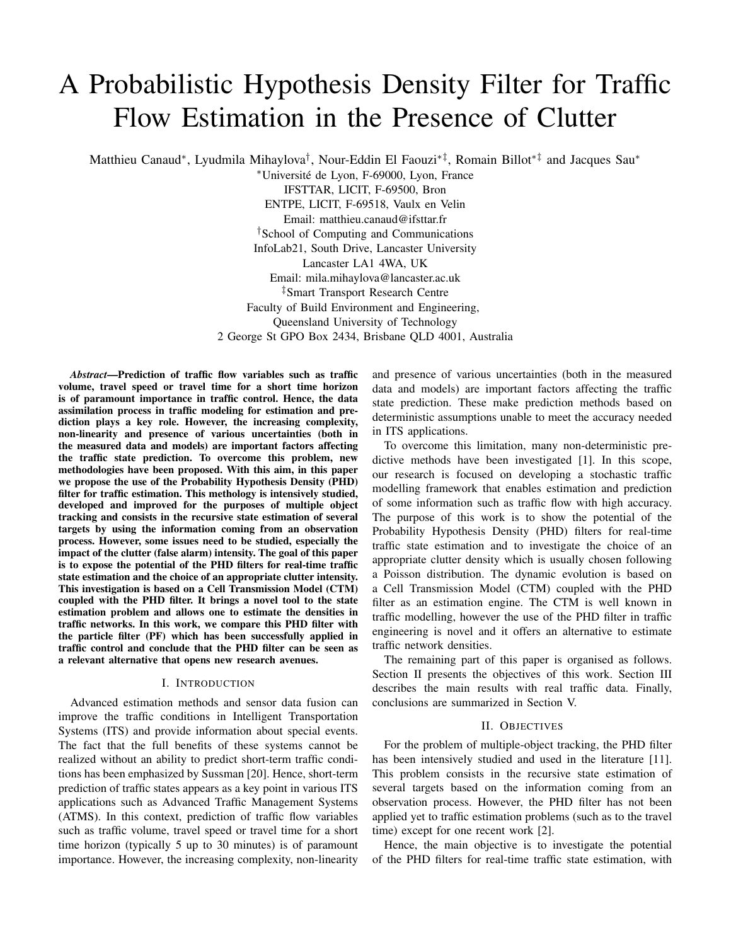# A Probabilistic Hypothesis Density Filter for Traffic Flow Estimation in the Presence of Clutter

Matthieu Canaud\*, Lyudmila Mihaylova<sup>†</sup>, Nour-Eddin El Faouzi\*<sup>‡</sup>, Romain Billot\*<sup>‡</sup> and Jacques Sau\*

<sup>∗</sup>Universite de Lyon, F-69000, Lyon, France ´ IFSTTAR, LICIT, F-69500, Bron ENTPE, LICIT, F-69518, Vaulx en Velin Email: matthieu.canaud@ifsttar.fr †School of Computing and Communications InfoLab21, South Drive, Lancaster University Lancaster LA1 4WA, UK Email: mila.mihaylova@lancaster.ac.uk ‡Smart Transport Research Centre Faculty of Build Environment and Engineering, Queensland University of Technology 2 George St GPO Box 2434, Brisbane QLD 4001, Australia

*Abstract*—Prediction of traffic flow variables such as traffic volume, travel speed or travel time for a short time horizon is of paramount importance in traffic control. Hence, the data assimilation process in traffic modeling for estimation and prediction plays a key role. However, the increasing complexity, non-linearity and presence of various uncertainties (both in the measured data and models) are important factors affecting the traffic state prediction. To overcome this problem, new methodologies have been proposed. With this aim, in this paper we propose the use of the Probability Hypothesis Density (PHD) filter for traffic estimation. This methology is intensively studied, developed and improved for the purposes of multiple object tracking and consists in the recursive state estimation of several targets by using the information coming from an observation process. However, some issues need to be studied, especially the impact of the clutter (false alarm) intensity. The goal of this paper is to expose the potential of the PHD filters for real-time traffic state estimation and the choice of an appropriate clutter intensity. This investigation is based on a Cell Transmission Model (CTM) coupled with the PHD filter. It brings a novel tool to the state estimation problem and allows one to estimate the densities in traffic networks. In this work, we compare this PHD filter with the particle filter (PF) which has been successfully applied in traffic control and conclude that the PHD filter can be seen as a relevant alternative that opens new research avenues.

# I. INTRODUCTION

Advanced estimation methods and sensor data fusion can improve the traffic conditions in Intelligent Transportation Systems (ITS) and provide information about special events. The fact that the full benefits of these systems cannot be realized without an ability to predict short-term traffic conditions has been emphasized by Sussman [20]. Hence, short-term prediction of traffic states appears as a key point in various ITS applications such as Advanced Traffic Management Systems (ATMS). In this context, prediction of traffic flow variables such as traffic volume, travel speed or travel time for a short time horizon (typically 5 up to 30 minutes) is of paramount importance. However, the increasing complexity, non-linearity and presence of various uncertainties (both in the measured data and models) are important factors affecting the traffic state prediction. These make prediction methods based on deterministic assumptions unable to meet the accuracy needed in ITS applications.

To overcome this limitation, many non-deterministic predictive methods have been investigated [1]. In this scope, our research is focused on developing a stochastic traffic modelling framework that enables estimation and prediction of some information such as traffic flow with high accuracy. The purpose of this work is to show the potential of the Probability Hypothesis Density (PHD) filters for real-time traffic state estimation and to investigate the choice of an appropriate clutter density which is usually chosen following a Poisson distribution. The dynamic evolution is based on a Cell Transmission Model (CTM) coupled with the PHD filter as an estimation engine. The CTM is well known in traffic modelling, however the use of the PHD filter in traffic engineering is novel and it offers an alternative to estimate traffic network densities.

The remaining part of this paper is organised as follows. Section II presents the objectives of this work. Section III describes the main results with real traffic data. Finally, conclusions are summarized in Section V.

# II. OBJECTIVES

For the problem of multiple-object tracking, the PHD filter has been intensively studied and used in the literature [11]. This problem consists in the recursive state estimation of several targets based on the information coming from an observation process. However, the PHD filter has not been applied yet to traffic estimation problems (such as to the travel time) except for one recent work [2].

Hence, the main objective is to investigate the potential of the PHD filters for real-time traffic state estimation, with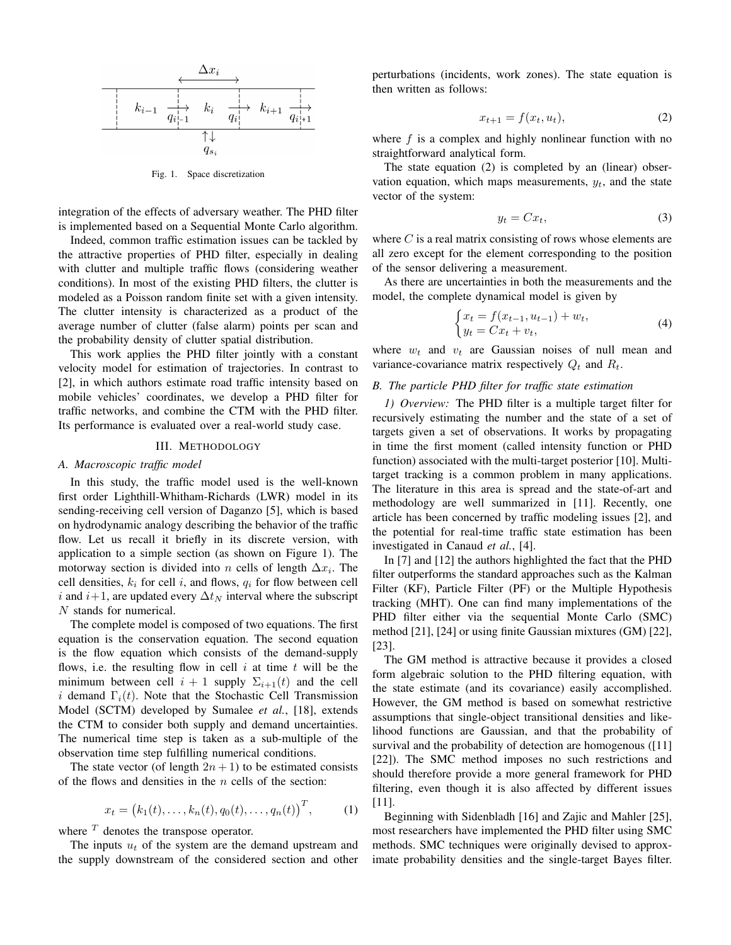

Fig. 1. Space discretization

integration of the effects of adversary weather. The PHD filter is implemented based on a Sequential Monte Carlo algorithm.

Indeed, common traffic estimation issues can be tackled by the attractive properties of PHD filter, especially in dealing with clutter and multiple traffic flows (considering weather conditions). In most of the existing PHD filters, the clutter is modeled as a Poisson random finite set with a given intensity. The clutter intensity is characterized as a product of the average number of clutter (false alarm) points per scan and the probability density of clutter spatial distribution.

This work applies the PHD filter jointly with a constant velocity model for estimation of trajectories. In contrast to [2], in which authors estimate road traffic intensity based on mobile vehicles' coordinates, we develop a PHD filter for traffic networks, and combine the CTM with the PHD filter. Its performance is evaluated over a real-world study case.

### III. METHODOLOGY

# *A. Macroscopic traffic model*

In this study, the traffic model used is the well-known first order Lighthill-Whitham-Richards (LWR) model in its sending-receiving cell version of Daganzo [5], which is based on hydrodynamic analogy describing the behavior of the traffic flow. Let us recall it briefly in its discrete version, with application to a simple section (as shown on Figure 1). The motorway section is divided into *n* cells of length  $\Delta x_i$ . The cell densities,  $k_i$  for cell i, and flows,  $q_i$  for flow between cell i and i+1, are updated every  $\Delta t_N$  interval where the subscript N stands for numerical.

The complete model is composed of two equations. The first equation is the conservation equation. The second equation is the flow equation which consists of the demand-supply flows, i.e. the resulting flow in cell  $i$  at time  $t$  will be the minimum between cell  $i + 1$  supply  $\Sigma_{i+1}(t)$  and the cell i demand  $\Gamma_i(t)$ . Note that the Stochastic Cell Transmission Model (SCTM) developed by Sumalee *et al.*, [18], extends the CTM to consider both supply and demand uncertainties. The numerical time step is taken as a sub-multiple of the observation time step fulfilling numerical conditions.

The state vector (of length  $2n + 1$ ) to be estimated consists of the flows and densities in the  $n$  cells of the section:

$$
x_t = (k_1(t), \dots, k_n(t), q_0(t), \dots, q_n(t))^T, \qquad (1)
$$

where  $T$  denotes the transpose operator.

The inputs  $u_t$  of the system are the demand upstream and the supply downstream of the considered section and other

perturbations (incidents, work zones). The state equation is then written as follows:

$$
x_{t+1} = f(x_t, u_t), \tag{2}
$$

where  $f$  is a complex and highly nonlinear function with no straightforward analytical form.

The state equation (2) is completed by an (linear) observation equation, which maps measurements,  $y_t$ , and the state vector of the system:

$$
y_t = Cx_t,\tag{3}
$$

where  $C$  is a real matrix consisting of rows whose elements are all zero except for the element corresponding to the position of the sensor delivering a measurement.

As there are uncertainties in both the measurements and the model, the complete dynamical model is given by

$$
\begin{cases} x_t = f(x_{t-1}, u_{t-1}) + w_t, \\ y_t = Cx_t + v_t, \end{cases}
$$
\n(4)

where  $w_t$  and  $v_t$  are Gaussian noises of null mean and variance-covariance matrix respectively  $Q_t$  and  $R_t$ .

## *B. The particle PHD filter for traffic state estimation*

*1) Overview:* The PHD filter is a multiple target filter for recursively estimating the number and the state of a set of targets given a set of observations. It works by propagating in time the first moment (called intensity function or PHD function) associated with the multi-target posterior [10]. Multitarget tracking is a common problem in many applications. The literature in this area is spread and the state-of-art and methodology are well summarized in [11]. Recently, one article has been concerned by traffic modeling issues [2], and the potential for real-time traffic state estimation has been investigated in Canaud *et al.*, [4].

In [7] and [12] the authors highlighted the fact that the PHD filter outperforms the standard approaches such as the Kalman Filter (KF), Particle Filter (PF) or the Multiple Hypothesis tracking (MHT). One can find many implementations of the PHD filter either via the sequential Monte Carlo (SMC) method [21], [24] or using finite Gaussian mixtures (GM) [22], [23].

The GM method is attractive because it provides a closed form algebraic solution to the PHD filtering equation, with the state estimate (and its covariance) easily accomplished. However, the GM method is based on somewhat restrictive assumptions that single-object transitional densities and likelihood functions are Gaussian, and that the probability of survival and the probability of detection are homogenous ([11] [22]). The SMC method imposes no such restrictions and should therefore provide a more general framework for PHD filtering, even though it is also affected by different issues [11].

Beginning with Sidenbladh [16] and Zajic and Mahler [25], most researchers have implemented the PHD filter using SMC methods. SMC techniques were originally devised to approximate probability densities and the single-target Bayes filter.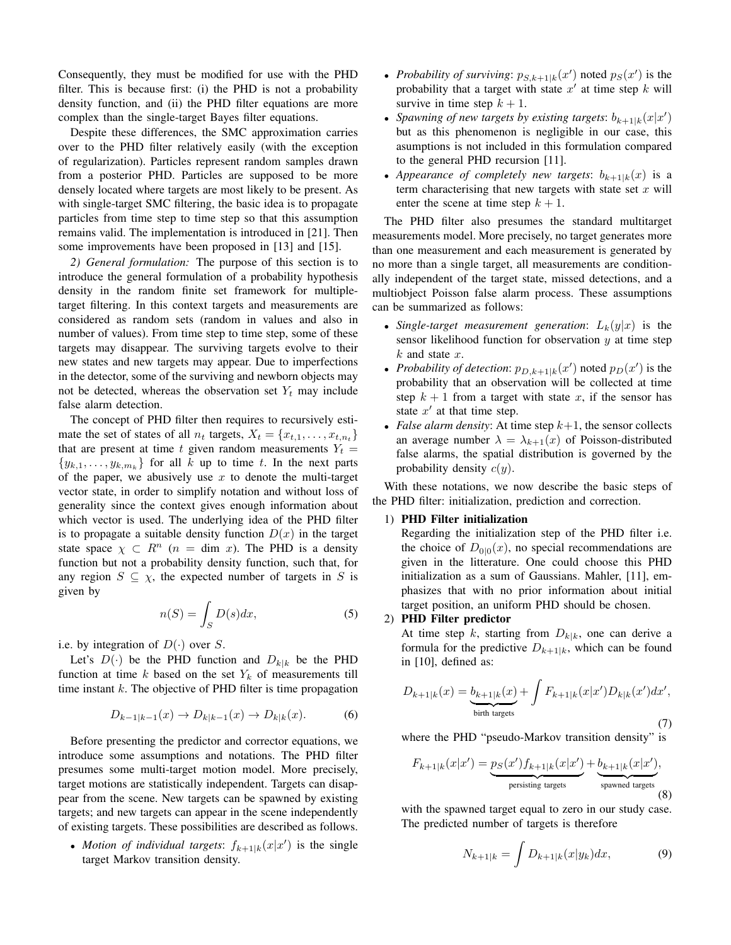Consequently, they must be modified for use with the PHD filter. This is because first: (i) the PHD is not a probability density function, and (ii) the PHD filter equations are more complex than the single-target Bayes filter equations.

Despite these differences, the SMC approximation carries over to the PHD filter relatively easily (with the exception of regularization). Particles represent random samples drawn from a posterior PHD. Particles are supposed to be more densely located where targets are most likely to be present. As with single-target SMC filtering, the basic idea is to propagate particles from time step to time step so that this assumption remains valid. The implementation is introduced in [21]. Then some improvements have been proposed in [13] and [15].

*2) General formulation:* The purpose of this section is to introduce the general formulation of a probability hypothesis density in the random finite set framework for multipletarget filtering. In this context targets and measurements are considered as random sets (random in values and also in number of values). From time step to time step, some of these targets may disappear. The surviving targets evolve to their new states and new targets may appear. Due to imperfections in the detector, some of the surviving and newborn objects may not be detected, whereas the observation set  $Y_t$  may include false alarm detection.

The concept of PHD filter then requires to recursively estimate the set of states of all  $n_t$  targets,  $X_t = \{x_{t,1}, \ldots, x_{t,n_t}\}\$ that are present at time t given random measurements  $Y_t =$  $\{y_{k,1}, \ldots, y_{k,m_k}\}\$  for all k up to time t. In the next parts of the paper, we abusively use  $x$  to denote the multi-target vector state, in order to simplify notation and without loss of generality since the context gives enough information about which vector is used. The underlying idea of the PHD filter is to propagate a suitable density function  $D(x)$  in the target state space  $\chi \subset R^n$  ( $n = \dim x$ ). The PHD is a density function but not a probability density function, such that, for any region  $S \subseteq \chi$ , the expected number of targets in S is given by

$$
n(S) = \int_{S} D(s)dx,\tag{5}
$$

i.e. by integration of  $D(\cdot)$  over S.

Let's  $D(\cdot)$  be the PHD function and  $D_{k|k}$  be the PHD function at time  $k$  based on the set  $Y_k$  of measurements till time instant  $k$ . The objective of PHD filter is time propagation

$$
D_{k-1|k-1}(x) \to D_{k|k-1}(x) \to D_{k|k}(x). \tag{6}
$$

Before presenting the predictor and corrector equations, we introduce some assumptions and notations. The PHD filter presumes some multi-target motion model. More precisely, target motions are statistically independent. Targets can disappear from the scene. New targets can be spawned by existing targets; and new targets can appear in the scene independently of existing targets. These possibilities are described as follows.

• *Motion of individual targets:*  $f_{k+1|k}(x|x')$  is the single target Markov transition density.

- *Probability of surviving:*  $p_{S,k+1|k}(x')$  noted  $p_S(x')$  is the probability that a target with state  $x'$  at time step k will survive in time step  $k + 1$ .
- *Spawning of new targets by existing targets:*  $b_{k+1|k}(x|x')$ but as this phenomenon is negligible in our case, this asumptions is not included in this formulation compared to the general PHD recursion [11].
- Appearance of completely new targets:  $b_{k+1|k}(x)$  is a term characterising that new targets with state set  $x$  will enter the scene at time step  $k + 1$ .

The PHD filter also presumes the standard multitarget measurements model. More precisely, no target generates more than one measurement and each measurement is generated by no more than a single target, all measurements are conditionally independent of the target state, missed detections, and a multiobject Poisson false alarm process. These assumptions can be summarized as follows:

- *Single-target measurement generation*:  $L_k(y|x)$  is the sensor likelihood function for observation  $y$  at time step  $k$  and state  $x$ .
- *Probability of detection:*  $p_{D,k+1|k}(x')$  noted  $p_D(x')$  is the probability that an observation will be collected at time step  $k + 1$  from a target with state x, if the sensor has state  $x'$  at that time step.
- *False alarm density*: At time step  $k+1$ , the sensor collects an average number  $\lambda = \lambda_{k+1}(x)$  of Poisson-distributed false alarms, the spatial distribution is governed by the probability density  $c(y)$ .

With these notations, we now describe the basic steps of the PHD filter: initialization, prediction and correction.

# 1) PHD Filter initialization

Regarding the initialization step of the PHD filter i.e. the choice of  $D_{0|0}(x)$ , no special recommendations are given in the litterature. One could choose this PHD initialization as a sum of Gaussians. Mahler, [11], emphasizes that with no prior information about initial target position, an uniform PHD should be chosen.

## 2) PHD Filter predictor

At time step k, starting from  $D_{k|k}$ , one can derive a formula for the predictive  $D_{k+1|k}$ , which can be found in [10], defined as:

$$
D_{k+1|k}(x) = \underbrace{b_{k+1|k}(x)}_{\text{birth targets}} + \int F_{k+1|k}(x|x')D_{k|k}(x')dx',
$$
\n(7)

where the PHD "pseudo-Markov transition density" is

$$
F_{k+1|k}(x|x') = \underbrace{p_S(x')f_{k+1|k}(x|x')}_{\text{persistent parts}} + \underbrace{b_{k+1|k}(x|x')}_{\text{spawned targets}},
$$
(8)

with the spawned target equal to zero in our study case. The predicted number of targets is therefore

$$
N_{k+1|k} = \int D_{k+1|k}(x|y_k) dx, \tag{9}
$$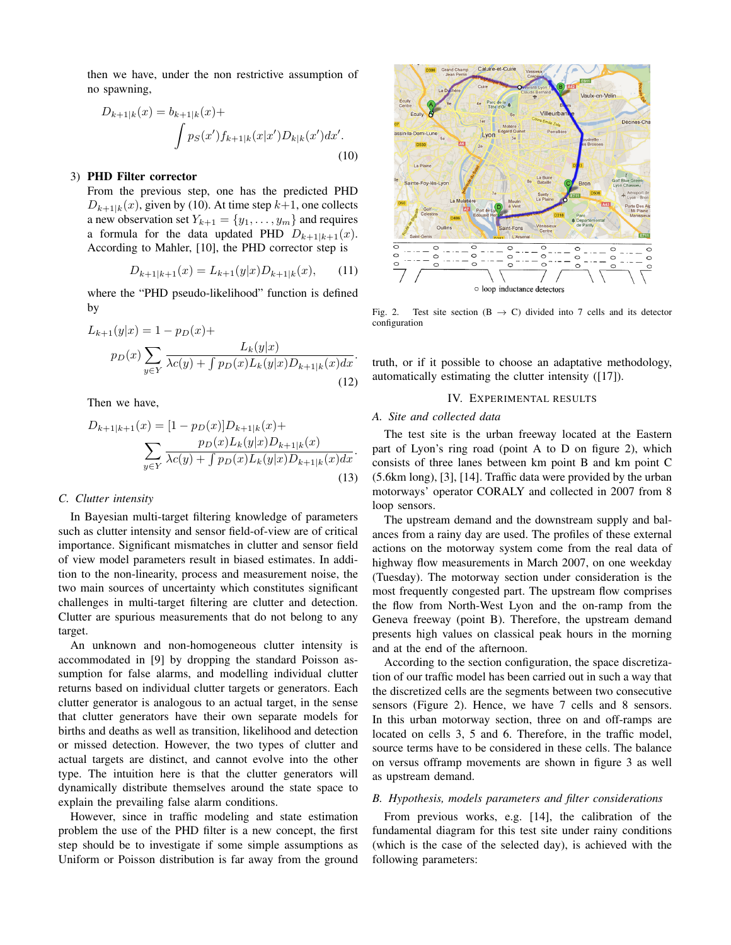then we have, under the non restrictive assumption of no spawning,

$$
D_{k+1|k}(x) = b_{k+1|k}(x) + \int p_S(x') f_{k+1|k}(x|x') D_{k|k}(x') dx'.
$$
\n(10)

# 3) PHD Filter corrector

From the previous step, one has the predicted PHD  $D_{k+1|k}(x)$ , given by (10). At time step  $k+1$ , one collects a new observation set  $Y_{k+1} = \{y_1, \ldots, y_m\}$  and requires a formula for the data updated PHD  $D_{k+1|k+1}(x)$ . According to Mahler, [10], the PHD corrector step is

$$
D_{k+1|k+1}(x) = L_{k+1}(y|x)D_{k+1|k}(x), \qquad (11)
$$

where the "PHD pseudo-likelihood" function is defined by

$$
L_{k+1}(y|x) = 1 - p_D(x) +
$$
  
\n
$$
p_D(x) \sum_{y \in Y} \frac{L_k(y|x)}{\lambda c(y) + \int p_D(x) L_k(y|x) D_{k+1|k}(x) dx}.
$$
  
\n(12)

Then we have,

$$
D_{k+1|k+1}(x) = [1 - p_D(x)]D_{k+1|k}(x) +
$$
  

$$
\sum_{y \in Y} \frac{p_D(x)L_k(y|x)D_{k+1|k}(x)}{\lambda c(y) + \int p_D(x)L_k(y|x)D_{k+1|k}(x)dx}.
$$
  
(13)

## *C. Clutter intensity*

In Bayesian multi-target filtering knowledge of parameters such as clutter intensity and sensor field-of-view are of critical importance. Significant mismatches in clutter and sensor field of view model parameters result in biased estimates. In addition to the non-linearity, process and measurement noise, the two main sources of uncertainty which constitutes significant challenges in multi-target filtering are clutter and detection. Clutter are spurious measurements that do not belong to any target.

An unknown and non-homogeneous clutter intensity is accommodated in [9] by dropping the standard Poisson assumption for false alarms, and modelling individual clutter returns based on individual clutter targets or generators. Each clutter generator is analogous to an actual target, in the sense that clutter generators have their own separate models for births and deaths as well as transition, likelihood and detection or missed detection. However, the two types of clutter and actual targets are distinct, and cannot evolve into the other type. The intuition here is that the clutter generators will dynamically distribute themselves around the state space to explain the prevailing false alarm conditions.

However, since in traffic modeling and state estimation problem the use of the PHD filter is a new concept, the first step should be to investigate if some simple assumptions as Uniform or Poisson distribution is far away from the ground



Fig. 2. Test site section (B  $\rightarrow$  C) divided into 7 cells and its detector configuration

truth, or if it possible to choose an adaptative methodology, automatically estimating the clutter intensity ([17]).

## IV. EXPERIMENTAL RESULTS

## *A. Site and collected data*

The test site is the urban freeway located at the Eastern part of Lyon's ring road (point A to D on figure 2), which consists of three lanes between km point B and km point C (5.6km long), [3], [14]. Traffic data were provided by the urban motorways' operator CORALY and collected in 2007 from 8 loop sensors.

The upstream demand and the downstream supply and balances from a rainy day are used. The profiles of these external actions on the motorway system come from the real data of highway flow measurements in March 2007, on one weekday (Tuesday). The motorway section under consideration is the most frequently congested part. The upstream flow comprises the flow from North-West Lyon and the on-ramp from the Geneva freeway (point B). Therefore, the upstream demand presents high values on classical peak hours in the morning and at the end of the afternoon.

According to the section configuration, the space discretization of our traffic model has been carried out in such a way that the discretized cells are the segments between two consecutive sensors (Figure 2). Hence, we have 7 cells and 8 sensors. In this urban motorway section, three on and off-ramps are located on cells 3, 5 and 6. Therefore, in the traffic model, source terms have to be considered in these cells. The balance on versus offramp movements are shown in figure 3 as well as upstream demand.

## *B. Hypothesis, models parameters and filter considerations*

From previous works, e.g. [14], the calibration of the fundamental diagram for this test site under rainy conditions (which is the case of the selected day), is achieved with the following parameters: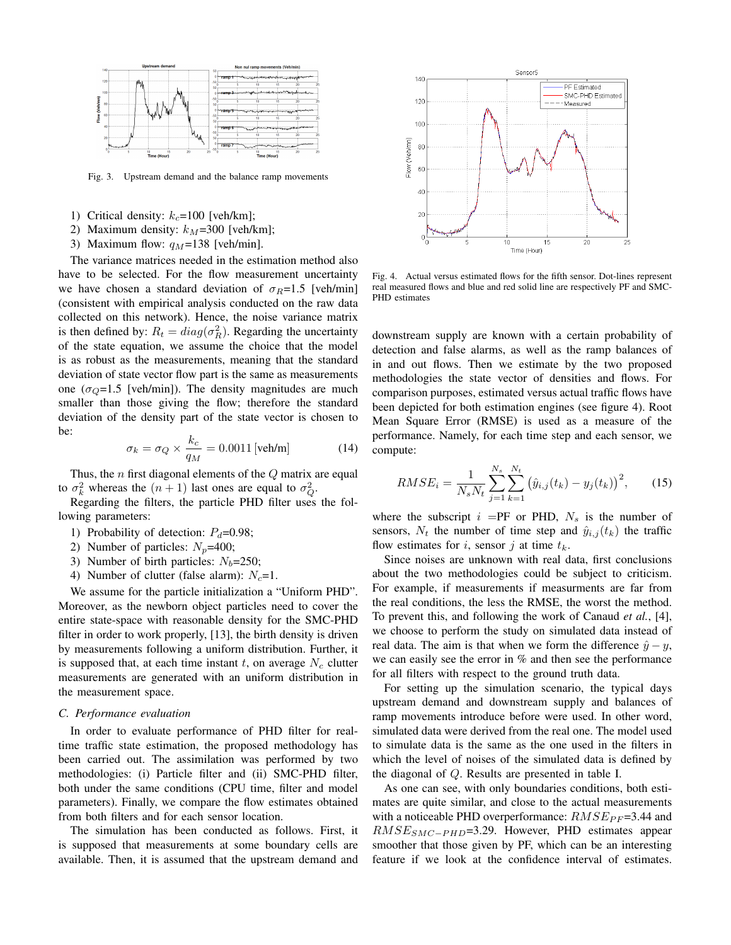

Fig. 3. Upstream demand and the balance ramp movements

- 1) Critical density:  $k_c$ =100 [veh/km];
- 2) Maximum density:  $k_M$ =300 [veh/km];
- 3) Maximum flow:  $q_M$ =138 [veh/min].

The variance matrices needed in the estimation method also have to be selected. For the flow measurement uncertainty we have chosen a standard deviation of  $\sigma_R=1.5$  [veh/min] (consistent with empirical analysis conducted on the raw data collected on this network). Hence, the noise variance matrix is then defined by:  $R_t = diag(\sigma_R^2)$ . Regarding the uncertainty of the state equation, we assume the choice that the model is as robust as the measurements, meaning that the standard deviation of state vector flow part is the same as measurements one ( $\sigma_Q$ =1.5 [veh/min]). The density magnitudes are much smaller than those giving the flow; therefore the standard deviation of the density part of the state vector is chosen to be:

$$
\sigma_k = \sigma_Q \times \frac{k_c}{q_M} = 0.0011 \, [\text{veh/m}] \tag{14}
$$

Thus, the  $n$  first diagonal elements of the  $Q$  matrix are equal to  $\sigma_k^2$  whereas the  $(n+1)$  last ones are equal to  $\sigma_Q^2$ .

Regarding the filters, the particle PHD filter uses the following parameters:

- 1) Probability of detection:  $P_d$ =0.98;
- 2) Number of particles:  $N_p$ =400;
- 3) Number of birth particles:  $N_b=250$ ;
- 4) Number of clutter (false alarm):  $N_c=1$ .

We assume for the particle initialization a "Uniform PHD". Moreover, as the newborn object particles need to cover the entire state-space with reasonable density for the SMC-PHD filter in order to work properly, [13], the birth density is driven by measurements following a uniform distribution. Further, it is supposed that, at each time instant  $t$ , on average  $N_c$  clutter measurements are generated with an uniform distribution in the measurement space.

## *C. Performance evaluation*

In order to evaluate performance of PHD filter for realtime traffic state estimation, the proposed methodology has been carried out. The assimilation was performed by two methodologies: (i) Particle filter and (ii) SMC-PHD filter, both under the same conditions (CPU time, filter and model parameters). Finally, we compare the flow estimates obtained from both filters and for each sensor location.

The simulation has been conducted as follows. First, it is supposed that measurements at some boundary cells are available. Then, it is assumed that the upstream demand and



Fig. 4. Actual versus estimated flows for the fifth sensor. Dot-lines represent real measured flows and blue and red solid line are respectively PF and SMC-PHD estimates

downstream supply are known with a certain probability of detection and false alarms, as well as the ramp balances of in and out flows. Then we estimate by the two proposed methodologies the state vector of densities and flows. For comparison purposes, estimated versus actual traffic flows have been depicted for both estimation engines (see figure 4). Root Mean Square Error (RMSE) is used as a measure of the performance. Namely, for each time step and each sensor, we compute:

$$
RMSE_i = \frac{1}{N_s N_t} \sum_{j=1}^{N_s} \sum_{k=1}^{N_t} (\hat{y}_{i,j}(t_k) - y_j(t_k))^2, \qquad (15)
$$

where the subscript  $i = PF$  or PHD,  $N_s$  is the number of sensors,  $N_t$  the number of time step and  $\hat{y}_{i,j}(t_k)$  the traffic flow estimates for i, sensor j at time  $t_k$ .

Since noises are unknown with real data, first conclusions about the two methodologies could be subject to criticism. For example, if measurements if measurments are far from the real conditions, the less the RMSE, the worst the method. To prevent this, and following the work of Canaud *et al.*, [4], we choose to perform the study on simulated data instead of real data. The aim is that when we form the difference  $\hat{y} - y$ , we can easily see the error in % and then see the performance for all filters with respect to the ground truth data.

For setting up the simulation scenario, the typical days upstream demand and downstream supply and balances of ramp movements introduce before were used. In other word, simulated data were derived from the real one. The model used to simulate data is the same as the one used in the filters in which the level of noises of the simulated data is defined by the diagonal of Q. Results are presented in table I.

As one can see, with only boundaries conditions, both estimates are quite similar, and close to the actual measurements with a noticeable PHD overperformance:  $RMSE_{PF} = 3.44$  and  $RMSE<sub>SMC–PHD</sub>=3.29$ . However, PHD estimates appear smoother that those given by PF, which can be an interesting feature if we look at the confidence interval of estimates.